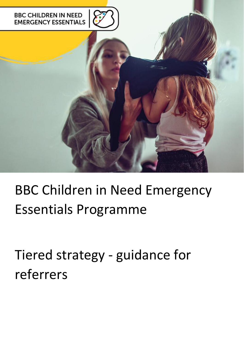

## BBC Children in Need Emergency Essentials Programme

Tiered strategy - guidance for referrers